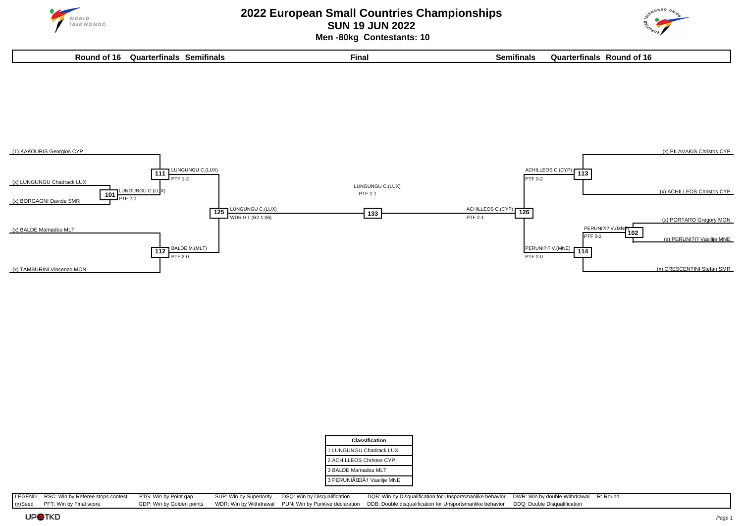

## **2022 European Small Countries Championships SUN 19 JUN 2022 Men -80kg Contestants: 10**





| <b>Classification</b>    |
|--------------------------|
| 1 LUNGUNGU Chadrack LUX  |
| 2 ACHILLEOS Christos CYP |
| 3 BALDE Mamadou MLT      |
| 3 PERUNIČIĆ Vasilije MNE |

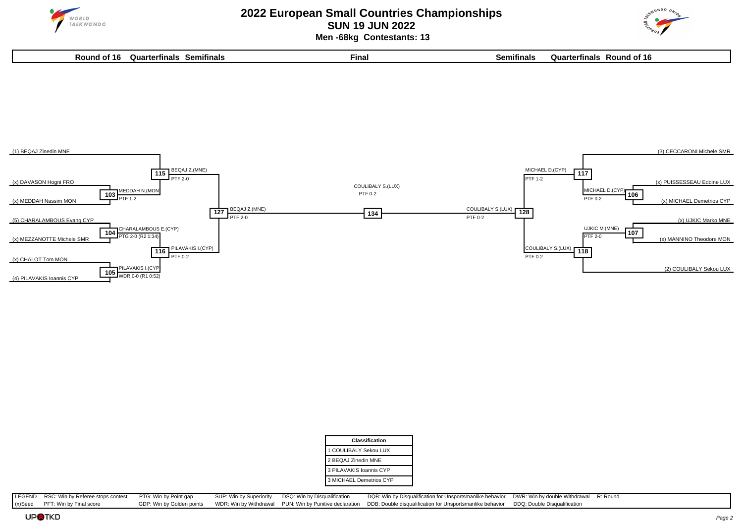

## **2022 European Small Countries Championships SUN 19 JUN 2022 Men -68kg Contestants: 13**



**Round of 16 Quarterfinals Semifinals Final Semifinals Quarterfinals Round of 16**



| Classification          |
|-------------------------|
| 1 COULIBALY Sekou LUX   |
| 2 BEQAJ Zinedin MNE     |
| 3 PILAVAKIS Ioannis CYP |
| 3 MICHAEL Demetrios CYP |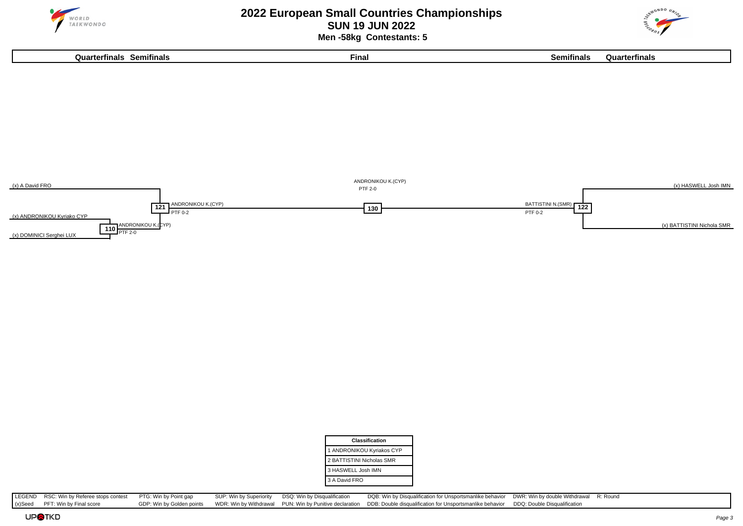

# **2022 European Small Countries Championships SUN 19 JUN 2022 Men -58kg Contestants: 5**





| <b>Classification</b>     |  |
|---------------------------|--|
| 1 ANDRONIKOU Kyriakos CYP |  |
| 2 BATTISTINI Nicholas SMR |  |
| 3 HASWELL Josh IMN        |  |
| 3 A David FRO             |  |
|                           |  |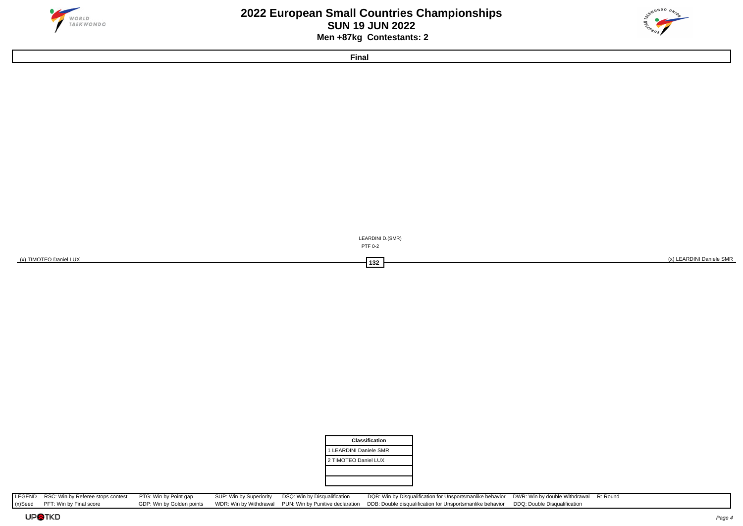



**Final**



| Classification         |
|------------------------|
| 1 LEARDINI Daniele SMR |
| 2 TIMOTEO Daniel LUX   |
|                        |
|                        |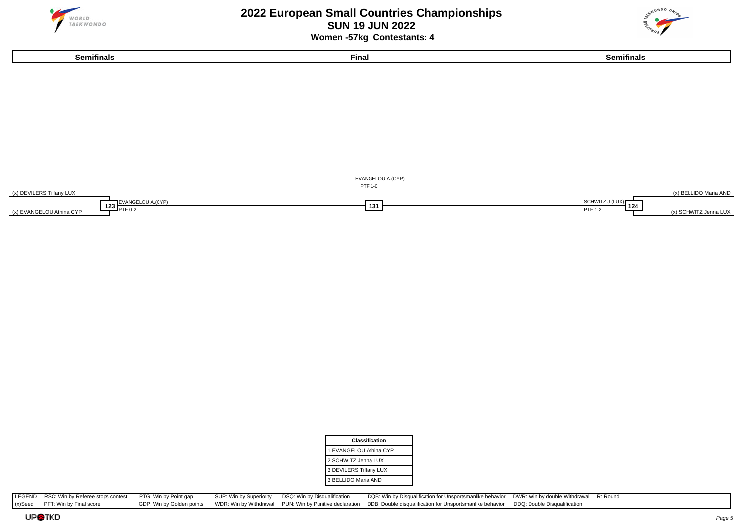

# **2022 European Small Countries Championships SUN 19 JUN 2022 Women -57kg Contestants: 4**





| <b>Classification</b>  |
|------------------------|
| 1 EVANGELOU Athina CYP |
| 2 SCHWITZ Jenna LUX    |
| 3 DEVILERS Tiffany LUX |
| 3 BELLIDO Maria AND    |